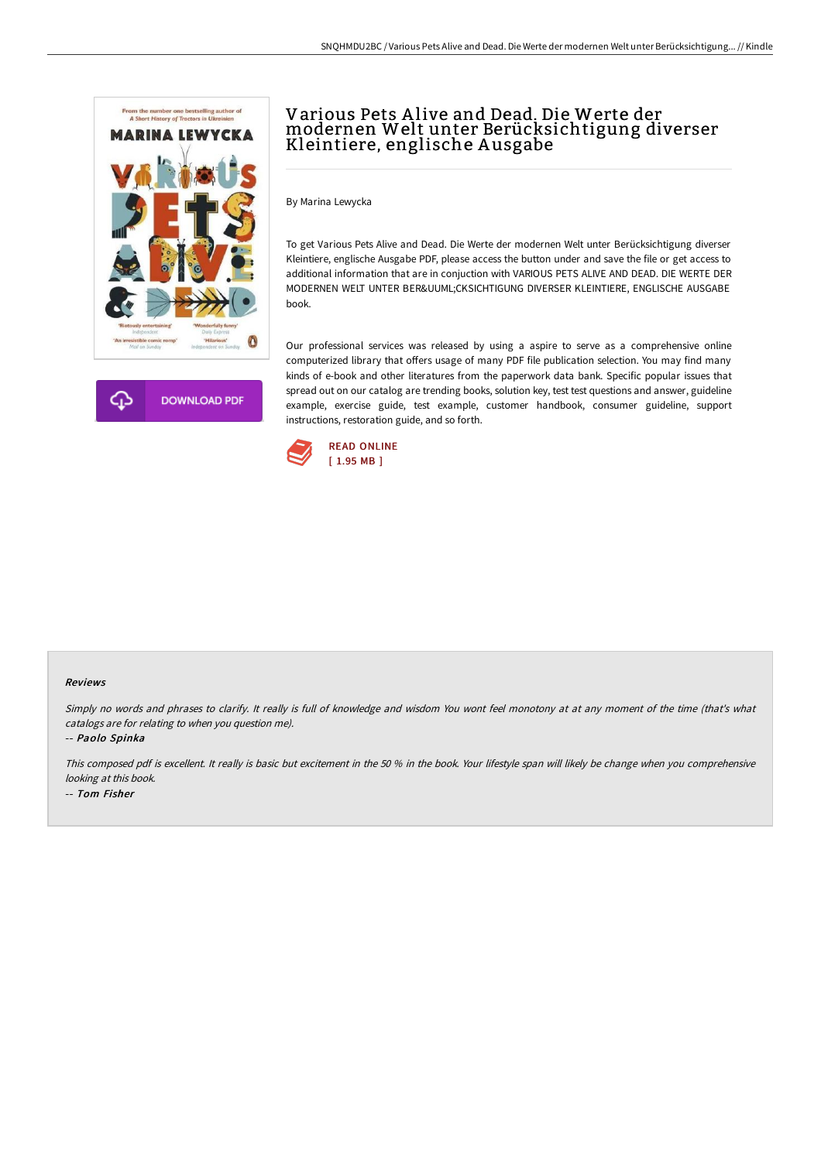

**DOWNLOAD PDF** 

# Various Pets A live and Dead. Die Werte der modernen Welt unter Berücksichtigung diverser Kleintiere, englische A usgabe

By Marina Lewycka

To get Various Pets Alive and Dead. Die Werte der modernen Welt unter Berücksichtigung diverser Kleintiere, englische Ausgabe PDF, please access the button under and save the file or get access to additional information that are in conjuction with VARIOUS PETS ALIVE AND DEAD. DIE WERTE DER MODERNEN WELT UNTER BERÜCKSICHTIGUNG DIVERSER KLEINTIERE, ENGLISCHE AUSGABE book.

Our professional services was released by using a aspire to serve as a comprehensive online computerized library that offers usage of many PDF file publication selection. You may find many kinds of e-book and other literatures from the paperwork data bank. Specific popular issues that spread out on our catalog are trending books, solution key, test test questions and answer, guideline example, exercise guide, test example, customer handbook, consumer guideline, support instructions, restoration guide, and so forth.



#### Reviews

Simply no words and phrases to clarify. It really is full of knowledge and wisdom You wont feel monotony at at any moment of the time (that's what catalogs are for relating to when you question me).

-- Paolo Spinka

This composed pdf is excellent. It really is basic but excitement in the <sup>50</sup> % in the book. Your lifestyle span will likely be change when you comprehensive looking at this book. -- Tom Fisher